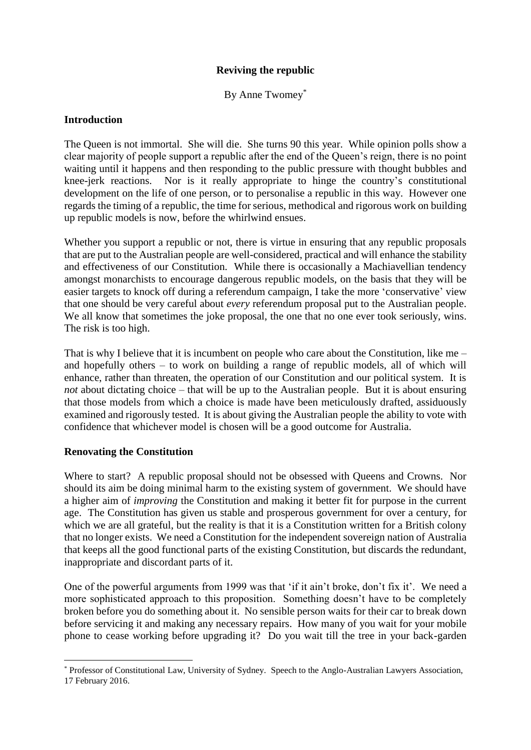# **Reviving the republic**

By Anne Twomey\*

## **Introduction**

The Queen is not immortal. She will die. She turns 90 this year. While opinion polls show a clear majority of people support a republic after the end of the Queen's reign, there is no point waiting until it happens and then responding to the public pressure with thought bubbles and knee-jerk reactions. Nor is it really appropriate to hinge the country's constitutional development on the life of one person, or to personalise a republic in this way. However one regards the timing of a republic, the time for serious, methodical and rigorous work on building up republic models is now, before the whirlwind ensues.

Whether you support a republic or not, there is virtue in ensuring that any republic proposals that are put to the Australian people are well-considered, practical and will enhance the stability and effectiveness of our Constitution. While there is occasionally a Machiavellian tendency amongst monarchists to encourage dangerous republic models, on the basis that they will be easier targets to knock off during a referendum campaign, I take the more 'conservative' view that one should be very careful about *every* referendum proposal put to the Australian people. We all know that sometimes the joke proposal, the one that no one ever took seriously, wins. The risk is too high.

That is why I believe that it is incumbent on people who care about the Constitution, like me – and hopefully others – to work on building a range of republic models, all of which will enhance, rather than threaten, the operation of our Constitution and our political system. It is *not* about dictating choice – that will be up to the Australian people. But it is about ensuring that those models from which a choice is made have been meticulously drafted, assiduously examined and rigorously tested. It is about giving the Australian people the ability to vote with confidence that whichever model is chosen will be a good outcome for Australia.

## **Renovating the Constitution**

Where to start? A republic proposal should not be obsessed with Queens and Crowns. Nor should its aim be doing minimal harm to the existing system of government. We should have a higher aim of *improving* the Constitution and making it better fit for purpose in the current age. The Constitution has given us stable and prosperous government for over a century, for which we are all grateful, but the reality is that it is a Constitution written for a British colony that no longer exists. We need a Constitution for the independent sovereign nation of Australia that keeps all the good functional parts of the existing Constitution, but discards the redundant, inappropriate and discordant parts of it.

One of the powerful arguments from 1999 was that 'if it ain't broke, don't fix it'. We need a more sophisticated approach to this proposition. Something doesn't have to be completely broken before you do something about it. No sensible person waits for their car to break down before servicing it and making any necessary repairs. How many of you wait for your mobile phone to cease working before upgrading it? Do you wait till the tree in your back-garden

<sup>1</sup> \* Professor of Constitutional Law, University of Sydney. Speech to the Anglo-Australian Lawyers Association, 17 February 2016.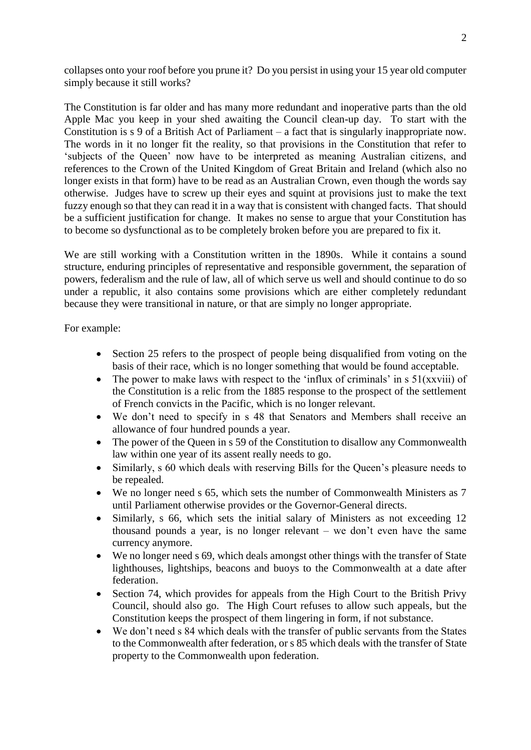collapses onto your roof before you prune it? Do you persist in using your 15 year old computer simply because it still works?

The Constitution is far older and has many more redundant and inoperative parts than the old Apple Mac you keep in your shed awaiting the Council clean-up day. To start with the Constitution is s 9 of a British Act of Parliament – a fact that is singularly inappropriate now. The words in it no longer fit the reality, so that provisions in the Constitution that refer to 'subjects of the Queen' now have to be interpreted as meaning Australian citizens, and references to the Crown of the United Kingdom of Great Britain and Ireland (which also no longer exists in that form) have to be read as an Australian Crown, even though the words say otherwise. Judges have to screw up their eyes and squint at provisions just to make the text fuzzy enough so that they can read it in a way that is consistent with changed facts. That should be a sufficient justification for change. It makes no sense to argue that your Constitution has to become so dysfunctional as to be completely broken before you are prepared to fix it.

We are still working with a Constitution written in the 1890s. While it contains a sound structure, enduring principles of representative and responsible government, the separation of powers, federalism and the rule of law, all of which serve us well and should continue to do so under a republic, it also contains some provisions which are either completely redundant because they were transitional in nature, or that are simply no longer appropriate.

For example:

- Section 25 refers to the prospect of people being disqualified from voting on the basis of their race, which is no longer something that would be found acceptable.
- The power to make laws with respect to the 'influx of criminals' in  $s \frac{51}{xxviii}$  of the Constitution is a relic from the 1885 response to the prospect of the settlement of French convicts in the Pacific, which is no longer relevant.
- We don't need to specify in s 48 that Senators and Members shall receive an allowance of four hundred pounds a year.
- The power of the Queen in s 59 of the Constitution to disallow any Commonwealth law within one year of its assent really needs to go.
- Similarly, s 60 which deals with reserving Bills for the Queen's pleasure needs to be repealed.
- We no longer need s 65, which sets the number of Commonwealth Ministers as 7 until Parliament otherwise provides or the Governor-General directs.
- Similarly, s 66, which sets the initial salary of Ministers as not exceeding 12 thousand pounds a year, is no longer relevant – we don't even have the same currency anymore.
- We no longer need s 69, which deals amongst other things with the transfer of State lighthouses, lightships, beacons and buoys to the Commonwealth at a date after federation.
- Section 74, which provides for appeals from the High Court to the British Privy Council, should also go. The High Court refuses to allow such appeals, but the Constitution keeps the prospect of them lingering in form, if not substance.
- We don't need s 84 which deals with the transfer of public servants from the States to the Commonwealth after federation, or s 85 which deals with the transfer of State property to the Commonwealth upon federation.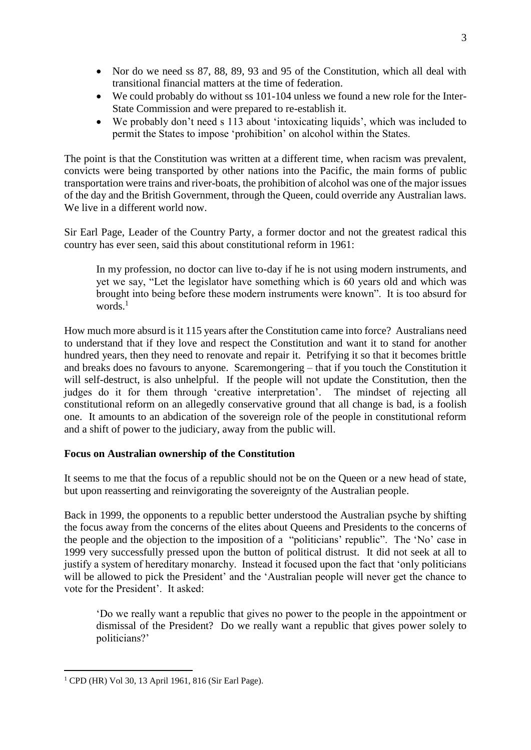- Nor do we need ss 87, 88, 89, 93 and 95 of the Constitution, which all deal with transitional financial matters at the time of federation.
- We could probably do without ss 101-104 unless we found a new role for the Inter-State Commission and were prepared to re-establish it.
- We probably don't need s 113 about 'intoxicating liquids', which was included to permit the States to impose 'prohibition' on alcohol within the States.

The point is that the Constitution was written at a different time, when racism was prevalent, convicts were being transported by other nations into the Pacific, the main forms of public transportation were trains and river-boats, the prohibition of alcohol was one of the major issues of the day and the British Government, through the Queen, could override any Australian laws. We live in a different world now.

Sir Earl Page, Leader of the Country Party, a former doctor and not the greatest radical this country has ever seen, said this about constitutional reform in 1961:

In my profession, no doctor can live to-day if he is not using modern instruments, and yet we say, "Let the legislator have something which is 60 years old and which was brought into being before these modern instruments were known". It is too absurd for words. $<sup>1</sup>$ </sup>

How much more absurd is it 115 years after the Constitution came into force? Australians need to understand that if they love and respect the Constitution and want it to stand for another hundred years, then they need to renovate and repair it. Petrifying it so that it becomes brittle and breaks does no favours to anyone. Scaremongering – that if you touch the Constitution it will self-destruct, is also unhelpful. If the people will not update the Constitution, then the judges do it for them through 'creative interpretation'. The mindset of rejecting all constitutional reform on an allegedly conservative ground that all change is bad, is a foolish one. It amounts to an abdication of the sovereign role of the people in constitutional reform and a shift of power to the judiciary, away from the public will.

# **Focus on Australian ownership of the Constitution**

It seems to me that the focus of a republic should not be on the Queen or a new head of state, but upon reasserting and reinvigorating the sovereignty of the Australian people.

Back in 1999, the opponents to a republic better understood the Australian psyche by shifting the focus away from the concerns of the elites about Queens and Presidents to the concerns of the people and the objection to the imposition of a "politicians' republic". The 'No' case in 1999 very successfully pressed upon the button of political distrust. It did not seek at all to justify a system of hereditary monarchy. Instead it focused upon the fact that 'only politicians will be allowed to pick the President' and the 'Australian people will never get the chance to vote for the President'. It asked:

'Do we really want a republic that gives no power to the people in the appointment or dismissal of the President? Do we really want a republic that gives power solely to politicians?'

1

<sup>1</sup> CPD (HR) Vol 30, 13 April 1961, 816 (Sir Earl Page).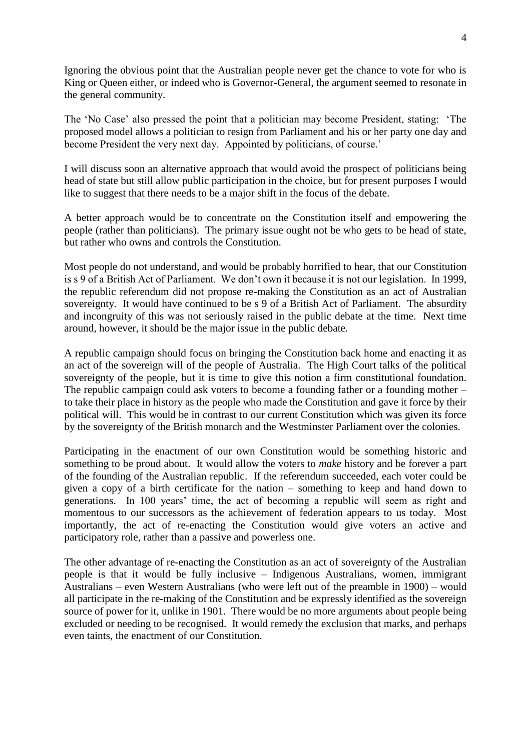Ignoring the obvious point that the Australian people never get the chance to vote for who is King or Queen either, or indeed who is Governor-General, the argument seemed to resonate in the general community.

The 'No Case' also pressed the point that a politician may become President, stating: 'The proposed model allows a politician to resign from Parliament and his or her party one day and become President the very next day. Appointed by politicians, of course.'

I will discuss soon an alternative approach that would avoid the prospect of politicians being head of state but still allow public participation in the choice, but for present purposes I would like to suggest that there needs to be a major shift in the focus of the debate.

A better approach would be to concentrate on the Constitution itself and empowering the people (rather than politicians). The primary issue ought not be who gets to be head of state, but rather who owns and controls the Constitution.

Most people do not understand, and would be probably horrified to hear, that our Constitution is s 9 of a British Act of Parliament. We don't own it because it is not our legislation. In 1999, the republic referendum did not propose re-making the Constitution as an act of Australian sovereignty. It would have continued to be s 9 of a British Act of Parliament. The absurdity and incongruity of this was not seriously raised in the public debate at the time. Next time around, however, it should be the major issue in the public debate.

A republic campaign should focus on bringing the Constitution back home and enacting it as an act of the sovereign will of the people of Australia. The High Court talks of the political sovereignty of the people, but it is time to give this notion a firm constitutional foundation. The republic campaign could ask voters to become a founding father or a founding mother – to take their place in history as the people who made the Constitution and gave it force by their political will. This would be in contrast to our current Constitution which was given its force by the sovereignty of the British monarch and the Westminster Parliament over the colonies.

Participating in the enactment of our own Constitution would be something historic and something to be proud about. It would allow the voters to *make* history and be forever a part of the founding of the Australian republic. If the referendum succeeded, each voter could be given a copy of a birth certificate for the nation – something to keep and hand down to generations. In 100 years' time, the act of becoming a republic will seem as right and momentous to our successors as the achievement of federation appears to us today. Most importantly, the act of re-enacting the Constitution would give voters an active and participatory role, rather than a passive and powerless one.

The other advantage of re-enacting the Constitution as an act of sovereignty of the Australian people is that it would be fully inclusive – Indigenous Australians, women, immigrant Australians – even Western Australians (who were left out of the preamble in 1900) – would all participate in the re-making of the Constitution and be expressly identified as the sovereign source of power for it, unlike in 1901. There would be no more arguments about people being excluded or needing to be recognised. It would remedy the exclusion that marks, and perhaps even taints, the enactment of our Constitution.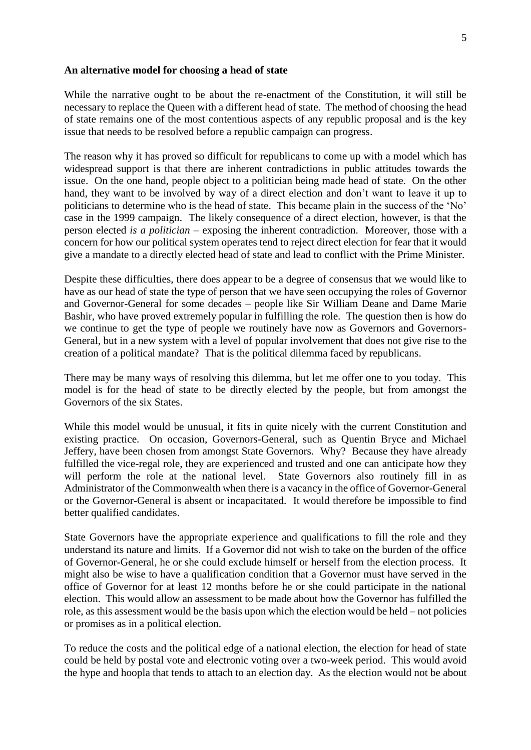#### **An alternative model for choosing a head of state**

While the narrative ought to be about the re-enactment of the Constitution, it will still be necessary to replace the Queen with a different head of state. The method of choosing the head of state remains one of the most contentious aspects of any republic proposal and is the key issue that needs to be resolved before a republic campaign can progress.

The reason why it has proved so difficult for republicans to come up with a model which has widespread support is that there are inherent contradictions in public attitudes towards the issue. On the one hand, people object to a politician being made head of state. On the other hand, they want to be involved by way of a direct election and don't want to leave it up to politicians to determine who is the head of state. This became plain in the success of the 'No' case in the 1999 campaign. The likely consequence of a direct election, however, is that the person elected *is a politician* – exposing the inherent contradiction. Moreover, those with a concern for how our political system operates tend to reject direct election for fear that it would give a mandate to a directly elected head of state and lead to conflict with the Prime Minister.

Despite these difficulties, there does appear to be a degree of consensus that we would like to have as our head of state the type of person that we have seen occupying the roles of Governor and Governor-General for some decades – people like Sir William Deane and Dame Marie Bashir, who have proved extremely popular in fulfilling the role. The question then is how do we continue to get the type of people we routinely have now as Governors and Governors-General, but in a new system with a level of popular involvement that does not give rise to the creation of a political mandate? That is the political dilemma faced by republicans.

There may be many ways of resolving this dilemma, but let me offer one to you today. This model is for the head of state to be directly elected by the people, but from amongst the Governors of the six States.

While this model would be unusual, it fits in quite nicely with the current Constitution and existing practice. On occasion, Governors-General, such as Quentin Bryce and Michael Jeffery, have been chosen from amongst State Governors. Why? Because they have already fulfilled the vice-regal role, they are experienced and trusted and one can anticipate how they will perform the role at the national level. State Governors also routinely fill in as Administrator of the Commonwealth when there is a vacancy in the office of Governor-General or the Governor-General is absent or incapacitated. It would therefore be impossible to find better qualified candidates.

State Governors have the appropriate experience and qualifications to fill the role and they understand its nature and limits. If a Governor did not wish to take on the burden of the office of Governor-General, he or she could exclude himself or herself from the election process. It might also be wise to have a qualification condition that a Governor must have served in the office of Governor for at least 12 months before he or she could participate in the national election. This would allow an assessment to be made about how the Governor has fulfilled the role, as this assessment would be the basis upon which the election would be held – not policies or promises as in a political election.

To reduce the costs and the political edge of a national election, the election for head of state could be held by postal vote and electronic voting over a two-week period. This would avoid the hype and hoopla that tends to attach to an election day. As the election would not be about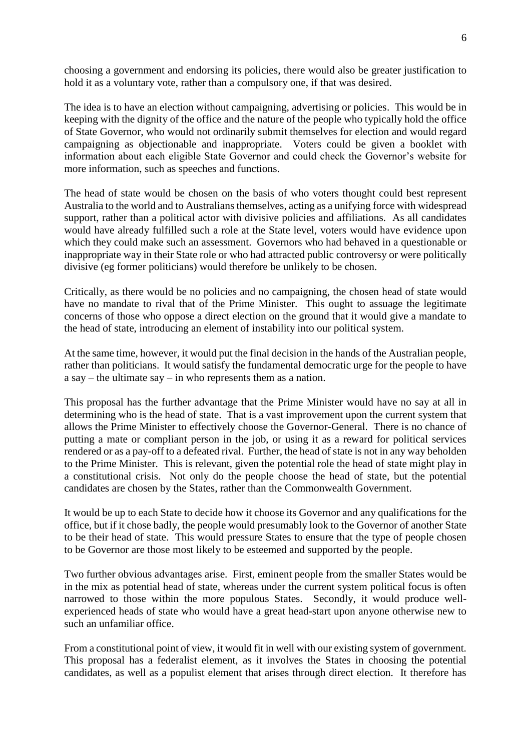choosing a government and endorsing its policies, there would also be greater justification to hold it as a voluntary vote, rather than a compulsory one, if that was desired.

The idea is to have an election without campaigning, advertising or policies. This would be in keeping with the dignity of the office and the nature of the people who typically hold the office of State Governor, who would not ordinarily submit themselves for election and would regard campaigning as objectionable and inappropriate. Voters could be given a booklet with information about each eligible State Governor and could check the Governor's website for more information, such as speeches and functions.

The head of state would be chosen on the basis of who voters thought could best represent Australia to the world and to Australians themselves, acting as a unifying force with widespread support, rather than a political actor with divisive policies and affiliations. As all candidates would have already fulfilled such a role at the State level, voters would have evidence upon which they could make such an assessment. Governors who had behaved in a questionable or inappropriate way in their State role or who had attracted public controversy or were politically divisive (eg former politicians) would therefore be unlikely to be chosen.

Critically, as there would be no policies and no campaigning, the chosen head of state would have no mandate to rival that of the Prime Minister. This ought to assuage the legitimate concerns of those who oppose a direct election on the ground that it would give a mandate to the head of state, introducing an element of instability into our political system.

At the same time, however, it would put the final decision in the hands of the Australian people, rather than politicians. It would satisfy the fundamental democratic urge for the people to have a say – the ultimate say – in who represents them as a nation.

This proposal has the further advantage that the Prime Minister would have no say at all in determining who is the head of state. That is a vast improvement upon the current system that allows the Prime Minister to effectively choose the Governor-General. There is no chance of putting a mate or compliant person in the job, or using it as a reward for political services rendered or as a pay-off to a defeated rival. Further, the head of state is not in any way beholden to the Prime Minister. This is relevant, given the potential role the head of state might play in a constitutional crisis. Not only do the people choose the head of state, but the potential candidates are chosen by the States, rather than the Commonwealth Government.

It would be up to each State to decide how it choose its Governor and any qualifications for the office, but if it chose badly, the people would presumably look to the Governor of another State to be their head of state. This would pressure States to ensure that the type of people chosen to be Governor are those most likely to be esteemed and supported by the people.

Two further obvious advantages arise. First, eminent people from the smaller States would be in the mix as potential head of state, whereas under the current system political focus is often narrowed to those within the more populous States. Secondly, it would produce wellexperienced heads of state who would have a great head-start upon anyone otherwise new to such an unfamiliar office.

From a constitutional point of view, it would fit in well with our existing system of government. This proposal has a federalist element, as it involves the States in choosing the potential candidates, as well as a populist element that arises through direct election. It therefore has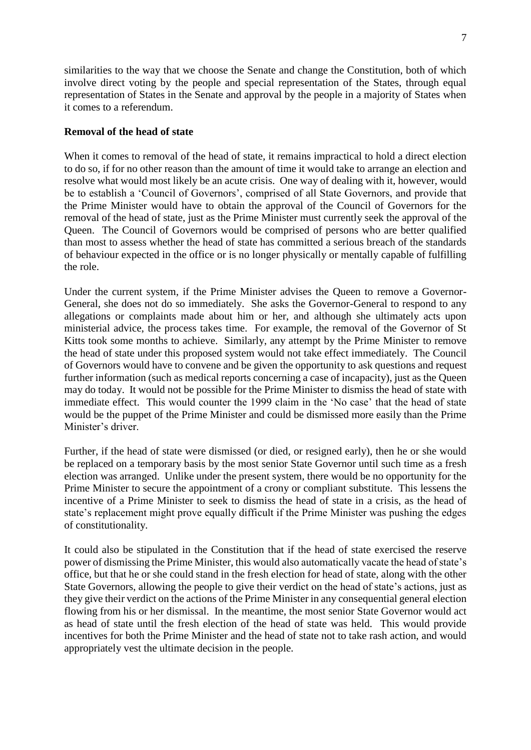similarities to the way that we choose the Senate and change the Constitution, both of which involve direct voting by the people and special representation of the States, through equal representation of States in the Senate and approval by the people in a majority of States when it comes to a referendum.

## **Removal of the head of state**

When it comes to removal of the head of state, it remains impractical to hold a direct election to do so, if for no other reason than the amount of time it would take to arrange an election and resolve what would most likely be an acute crisis. One way of dealing with it, however, would be to establish a 'Council of Governors', comprised of all State Governors, and provide that the Prime Minister would have to obtain the approval of the Council of Governors for the removal of the head of state, just as the Prime Minister must currently seek the approval of the Queen. The Council of Governors would be comprised of persons who are better qualified than most to assess whether the head of state has committed a serious breach of the standards of behaviour expected in the office or is no longer physically or mentally capable of fulfilling the role.

Under the current system, if the Prime Minister advises the Queen to remove a Governor-General, she does not do so immediately. She asks the Governor-General to respond to any allegations or complaints made about him or her, and although she ultimately acts upon ministerial advice, the process takes time. For example, the removal of the Governor of St Kitts took some months to achieve. Similarly, any attempt by the Prime Minister to remove the head of state under this proposed system would not take effect immediately. The Council of Governors would have to convene and be given the opportunity to ask questions and request further information (such as medical reports concerning a case of incapacity), just as the Queen may do today. It would not be possible for the Prime Minister to dismiss the head of state with immediate effect. This would counter the 1999 claim in the 'No case' that the head of state would be the puppet of the Prime Minister and could be dismissed more easily than the Prime Minister's driver.

Further, if the head of state were dismissed (or died, or resigned early), then he or she would be replaced on a temporary basis by the most senior State Governor until such time as a fresh election was arranged. Unlike under the present system, there would be no opportunity for the Prime Minister to secure the appointment of a crony or compliant substitute. This lessens the incentive of a Prime Minister to seek to dismiss the head of state in a crisis, as the head of state's replacement might prove equally difficult if the Prime Minister was pushing the edges of constitutionality.

It could also be stipulated in the Constitution that if the head of state exercised the reserve power of dismissing the Prime Minister, this would also automatically vacate the head of state's office, but that he or she could stand in the fresh election for head of state, along with the other State Governors, allowing the people to give their verdict on the head of state's actions, just as they give their verdict on the actions of the Prime Minister in any consequential general election flowing from his or her dismissal. In the meantime, the most senior State Governor would act as head of state until the fresh election of the head of state was held. This would provide incentives for both the Prime Minister and the head of state not to take rash action, and would appropriately vest the ultimate decision in the people.